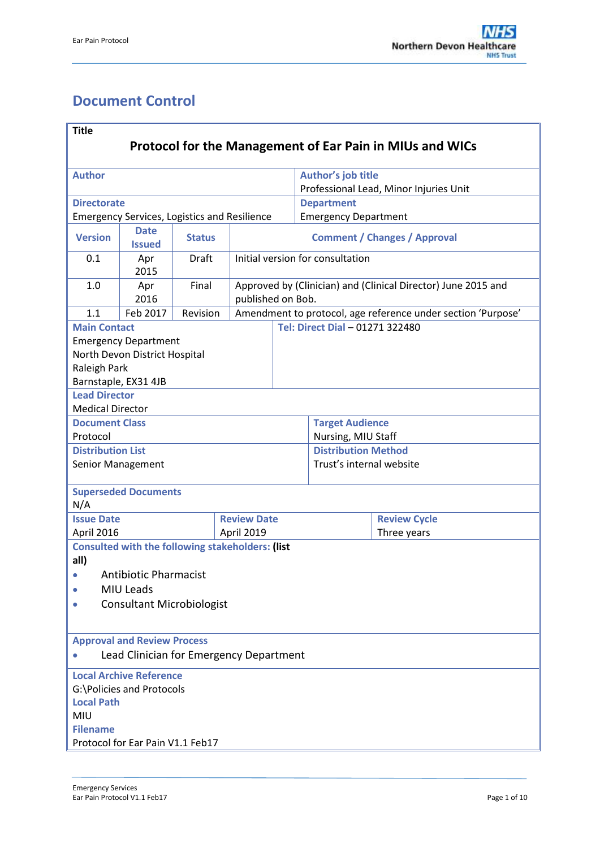# <span id="page-0-0"></span>**Document Control**

| <b>Title</b>                                                                                                                                   |                                                         |               |                    |                                                                                    |                             |                        |                                        |  |  |
|------------------------------------------------------------------------------------------------------------------------------------------------|---------------------------------------------------------|---------------|--------------------|------------------------------------------------------------------------------------|-----------------------------|------------------------|----------------------------------------|--|--|
| <b>Protocol for the Management of Ear Pain in MIUs and WICs</b>                                                                                |                                                         |               |                    |                                                                                    |                             |                        |                                        |  |  |
| <b>Author</b>                                                                                                                                  |                                                         |               |                    |                                                                                    | Author's job title          |                        |                                        |  |  |
|                                                                                                                                                |                                                         |               |                    |                                                                                    |                             |                        | Professional Lead, Minor Injuries Unit |  |  |
| <b>Directorate</b>                                                                                                                             |                                                         |               |                    |                                                                                    | <b>Department</b>           |                        |                                        |  |  |
|                                                                                                                                                | <b>Emergency Services, Logistics and Resilience</b>     |               |                    |                                                                                    | <b>Emergency Department</b> |                        |                                        |  |  |
| <b>Version</b>                                                                                                                                 | <b>Date</b><br><b>Issued</b>                            | <b>Status</b> |                    | <b>Comment / Changes / Approval</b>                                                |                             |                        |                                        |  |  |
| 0.1                                                                                                                                            | Apr<br>2015                                             | <b>Draft</b>  |                    | Initial version for consultation                                                   |                             |                        |                                        |  |  |
| 1.0                                                                                                                                            | Apr<br>2016                                             | Final         |                    | Approved by (Clinician) and (Clinical Director) June 2015 and<br>published on Bob. |                             |                        |                                        |  |  |
| 1.1                                                                                                                                            | Feb 2017                                                | Revision      |                    | Amendment to protocol, age reference under section 'Purpose'                       |                             |                        |                                        |  |  |
| <b>Main Contact</b>                                                                                                                            |                                                         |               |                    |                                                                                    |                             |                        | Tel: Direct Dial - 01271 322480        |  |  |
| <b>Emergency Department</b><br>North Devon District Hospital<br>Raleigh Park<br>Barnstaple, EX31 4JB                                           |                                                         |               |                    |                                                                                    |                             |                        |                                        |  |  |
| <b>Lead Director</b>                                                                                                                           |                                                         |               |                    |                                                                                    |                             |                        |                                        |  |  |
| <b>Medical Director</b>                                                                                                                        |                                                         |               |                    |                                                                                    |                             |                        |                                        |  |  |
| <b>Document Class</b>                                                                                                                          |                                                         |               |                    |                                                                                    |                             | <b>Target Audience</b> |                                        |  |  |
| Protocol                                                                                                                                       |                                                         |               |                    |                                                                                    |                             | Nursing, MIU Staff     |                                        |  |  |
| <b>Distribution List</b>                                                                                                                       |                                                         |               |                    |                                                                                    | <b>Distribution Method</b>  |                        |                                        |  |  |
| Senior Management                                                                                                                              |                                                         |               |                    |                                                                                    | Trust's internal website    |                        |                                        |  |  |
|                                                                                                                                                | <b>Superseded Documents</b>                             |               |                    |                                                                                    |                             |                        |                                        |  |  |
| N/A                                                                                                                                            |                                                         |               |                    |                                                                                    |                             |                        |                                        |  |  |
| <b>Issue Date</b>                                                                                                                              |                                                         |               | <b>Review Date</b> |                                                                                    |                             |                        | <b>Review Cycle</b>                    |  |  |
| April 2016                                                                                                                                     |                                                         |               | April 2019         |                                                                                    |                             | Three years            |                                        |  |  |
|                                                                                                                                                | <b>Consulted with the following stakeholders: (list</b> |               |                    |                                                                                    |                             |                        |                                        |  |  |
| all)                                                                                                                                           |                                                         |               |                    |                                                                                    |                             |                        |                                        |  |  |
|                                                                                                                                                | <b>Antibiotic Pharmacist</b>                            |               |                    |                                                                                    |                             |                        |                                        |  |  |
|                                                                                                                                                | MIU Leads                                               |               |                    |                                                                                    |                             |                        |                                        |  |  |
| $\bullet$                                                                                                                                      | <b>Consultant Microbiologist</b>                        |               |                    |                                                                                    |                             |                        |                                        |  |  |
|                                                                                                                                                |                                                         |               |                    |                                                                                    |                             |                        |                                        |  |  |
| <b>Approval and Review Process</b><br>Lead Clinician for Emergency Department                                                                  |                                                         |               |                    |                                                                                    |                             |                        |                                        |  |  |
| <b>Local Archive Reference</b><br>G:\Policies and Protocols<br><b>Local Path</b><br>MIU<br><b>Filename</b><br>Protocol for Ear Pain V1.1 Feb17 |                                                         |               |                    |                                                                                    |                             |                        |                                        |  |  |
|                                                                                                                                                |                                                         |               |                    |                                                                                    |                             |                        |                                        |  |  |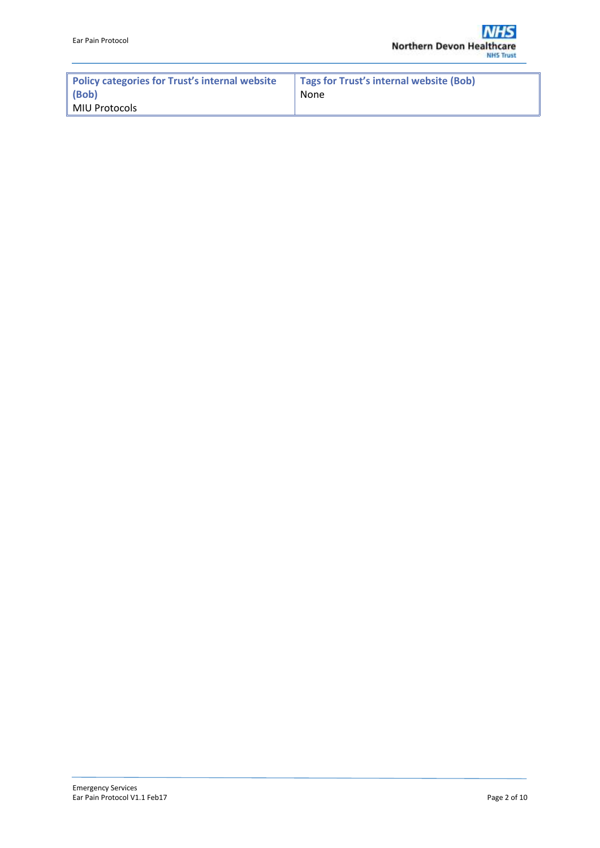| Policy categories for Trust's internal website | Tags for Trust's internal website (Bob) |
|------------------------------------------------|-----------------------------------------|
| (Bob)                                          | None                                    |
| MIU Protocols                                  |                                         |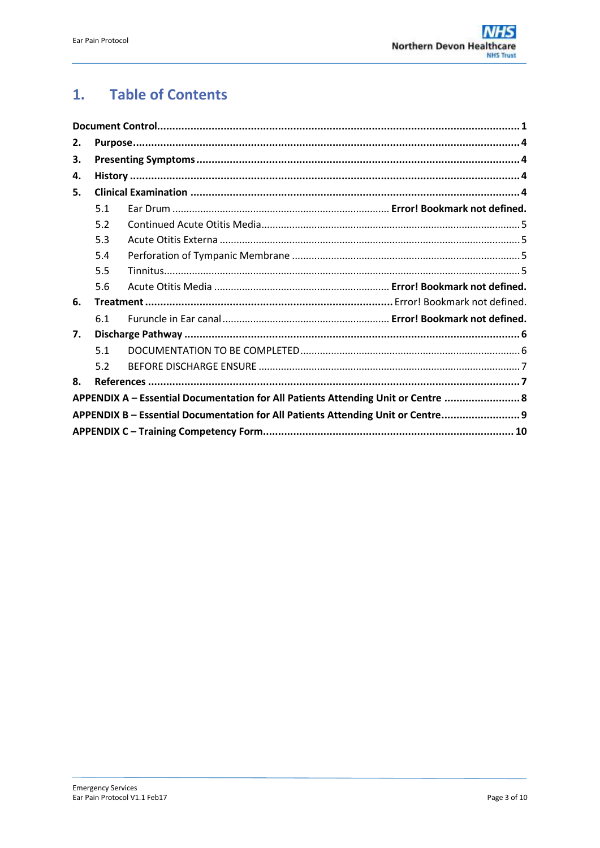#### **Table of Contents**  $1.$

| 2. |     |                                                                                   |  |  |  |  |  |
|----|-----|-----------------------------------------------------------------------------------|--|--|--|--|--|
| З. |     |                                                                                   |  |  |  |  |  |
| 4. |     |                                                                                   |  |  |  |  |  |
| 5. |     |                                                                                   |  |  |  |  |  |
|    | 5.1 |                                                                                   |  |  |  |  |  |
|    | 5.2 |                                                                                   |  |  |  |  |  |
|    | 5.3 |                                                                                   |  |  |  |  |  |
|    | 5.4 |                                                                                   |  |  |  |  |  |
|    | 5.5 |                                                                                   |  |  |  |  |  |
|    | 5.6 |                                                                                   |  |  |  |  |  |
| 6. |     |                                                                                   |  |  |  |  |  |
|    | 6.1 |                                                                                   |  |  |  |  |  |
| 7. |     |                                                                                   |  |  |  |  |  |
|    | 5.1 |                                                                                   |  |  |  |  |  |
|    | 5.2 |                                                                                   |  |  |  |  |  |
| 8. |     |                                                                                   |  |  |  |  |  |
|    |     | APPENDIX A - Essential Documentation for All Patients Attending Unit or Centre  8 |  |  |  |  |  |
|    |     | APPENDIX B - Essential Documentation for All Patients Attending Unit or Centre 9  |  |  |  |  |  |
|    |     |                                                                                   |  |  |  |  |  |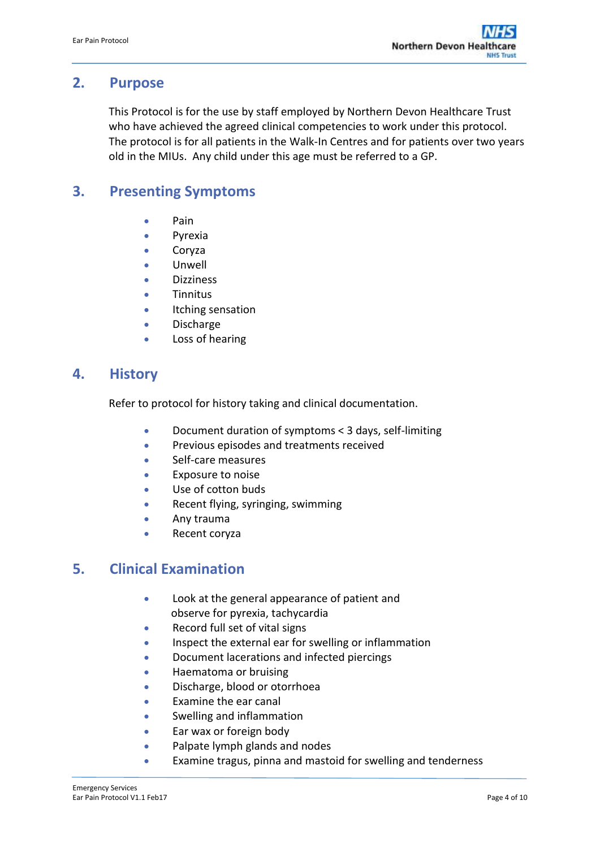# <span id="page-3-0"></span>**2. Purpose**

This Protocol is for the use by staff employed by Northern Devon Healthcare Trust who have achieved the agreed clinical competencies to work under this protocol. The protocol is for all patients in the Walk-In Centres and for patients over two years old in the MIUs. Any child under this age must be referred to a GP.

# <span id="page-3-1"></span>**3. Presenting Symptoms**

- $\bullet$  Pain
- Pyrexia
- Coryza
- Unwell
- Dizziness
- **•** Tinnitus
- **•** Itching sensation
- Discharge
- Loss of hearing

### <span id="page-3-2"></span>**4. History**

Refer to protocol for history taking and clinical documentation.

- Document duration of symptoms < 3 days, self-limiting
- **•** Previous episodes and treatments received
- Self-care measures
- **Exposure to noise**
- Use of cotton buds
- Recent flying, syringing, swimming
- **Any trauma**
- Recent coryza

# <span id="page-3-3"></span>**5. Clinical Examination**

- Look at the general appearance of patient and observe for pyrexia, tachycardia
- Record full set of vital signs
- Inspect the external ear for swelling or inflammation
- Document lacerations and infected piercings
- **•** Haematoma or bruising
- Discharge, blood or otorrhoea
- Examine the ear canal
- Swelling and inflammation
- Ear wax or foreign body
- Palpate lymph glands and nodes
- Examine tragus, pinna and mastoid for swelling and tenderness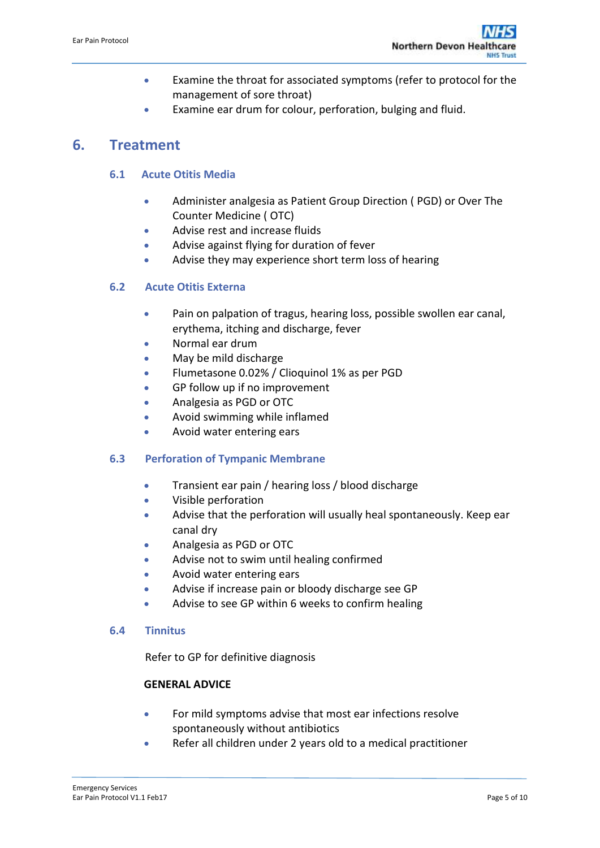- Examine the throat for associated symptoms (refer to protocol for the management of sore throat)
- Examine ear drum for colour, perforation, bulging and fluid.

# <span id="page-4-0"></span>**6. Treatment**

### **6.1 Acute Otitis Media**

- Administer analgesia as Patient Group Direction ( PGD) or Over The Counter Medicine ( OTC)
- Advise rest and increase fluids
- Advise against flying for duration of fever
- Advise they may experience short term loss of hearing

### <span id="page-4-1"></span>**6.2 Acute Otitis Externa**

- Pain on palpation of tragus, hearing loss, possible swollen ear canal, erythema, itching and discharge, fever
- Normal ear drum
- May be mild discharge
- Flumetasone 0.02% / Clioquinol 1% as per PGD
- GP follow up if no improvement
- Analgesia as PGD or OTC
- Avoid swimming while inflamed
- Avoid water entering ears

### <span id="page-4-2"></span>**6.3 Perforation of Tympanic Membrane**

- **•** Transient ear pain / hearing loss / blood discharge
- Visible perforation
- Advise that the perforation will usually heal spontaneously. Keep ear canal dry
- Analgesia as PGD or OTC
- Advise not to swim until healing confirmed
- Avoid water entering ears
- Advise if increase pain or bloody discharge see GP
- Advise to see GP within 6 weeks to confirm healing

#### <span id="page-4-3"></span>**6.4 Tinnitus**

Refer to GP for definitive diagnosis

### **GENERAL ADVICE**

- For mild symptoms advise that most ear infections resolve spontaneously without antibiotics
- Refer all children under 2 years old to a medical practitioner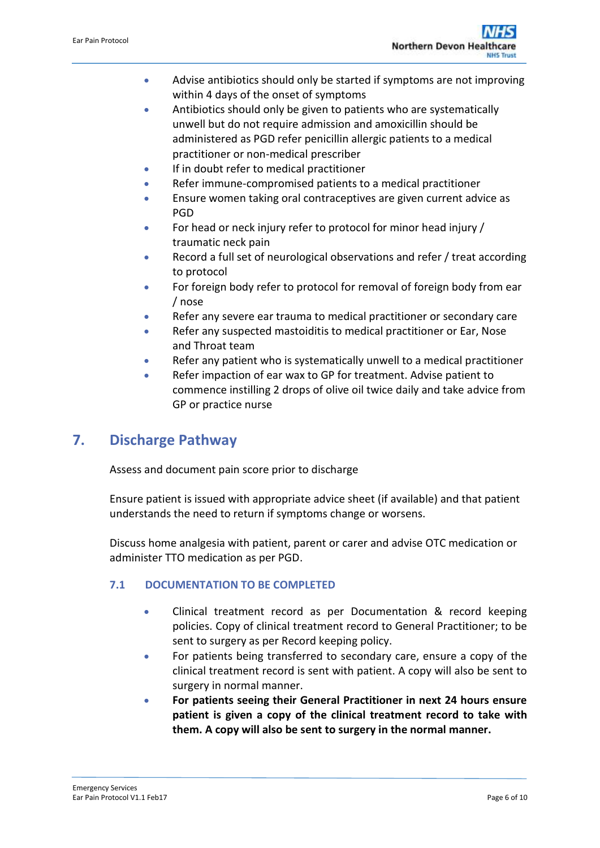- Advise antibiotics should only be started if symptoms are not improving within 4 days of the onset of symptoms
- Antibiotics should only be given to patients who are systematically unwell but do not require admission and amoxicillin should be administered as PGD refer penicillin allergic patients to a medical practitioner or non-medical prescriber
- **If in doubt refer to medical practitioner**
- Refer immune-compromised patients to a medical practitioner
- Ensure women taking oral contraceptives are given current advice as PGD
- For head or neck injury refer to protocol for minor head injury / traumatic neck pain
- Record a full set of neurological observations and refer / treat according to protocol
- For foreign body refer to protocol for removal of foreign body from ear / nose
- Refer any severe ear trauma to medical practitioner or secondary care
- Refer any suspected mastoiditis to medical practitioner or Ear, Nose and Throat team
- Refer any patient who is systematically unwell to a medical practitioner
- Refer impaction of ear wax to GP for treatment. Advise patient to commence instilling 2 drops of olive oil twice daily and take advice from GP or practice nurse

# <span id="page-5-0"></span>**7. Discharge Pathway**

Assess and document pain score prior to discharge

Ensure patient is issued with appropriate advice sheet (if available) and that patient understands the need to return if symptoms change or worsens.

Discuss home analgesia with patient, parent or carer and advise OTC medication or administer TTO medication as per PGD.

### <span id="page-5-1"></span>**7.1 DOCUMENTATION TO BE COMPLETED**

- Clinical treatment record as per Documentation & record keeping policies. Copy of clinical treatment record to General Practitioner; to be sent to surgery as per Record keeping policy.
- For patients being transferred to secondary care, ensure a copy of the clinical treatment record is sent with patient. A copy will also be sent to surgery in normal manner.
- **For patients seeing their General Practitioner in next 24 hours ensure patient is given a copy of the clinical treatment record to take with them. A copy will also be sent to surgery in the normal manner.**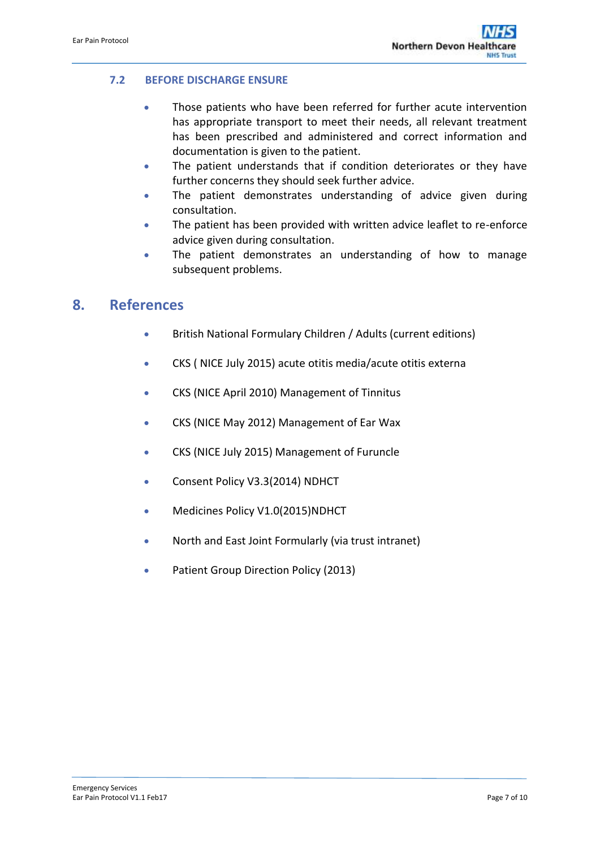### <span id="page-6-0"></span>**7.2 BEFORE DISCHARGE ENSURE**

- Those patients who have been referred for further acute intervention has appropriate transport to meet their needs, all relevant treatment has been prescribed and administered and correct information and documentation is given to the patient.
- The patient understands that if condition deteriorates or they have further concerns they should seek further advice.
- The patient demonstrates understanding of advice given during consultation.
- The patient has been provided with written advice leaflet to re-enforce advice given during consultation.
- The patient demonstrates an understanding of how to manage subsequent problems.

## <span id="page-6-1"></span>**8. References**

- British National Formulary Children / Adults (current editions)
- CKS ( NICE July 2015) acute otitis media/acute otitis externa
- CKS (NICE April 2010) Management of Tinnitus
- CKS (NICE May 2012) Management of Ear Wax
- CKS (NICE July 2015) Management of Furuncle
- Consent Policy V3.3(2014) NDHCT
- Medicines Policy V1.0(2015)NDHCT
- North and East Joint Formularly (via trust intranet)
- Patient Group Direction Policy (2013)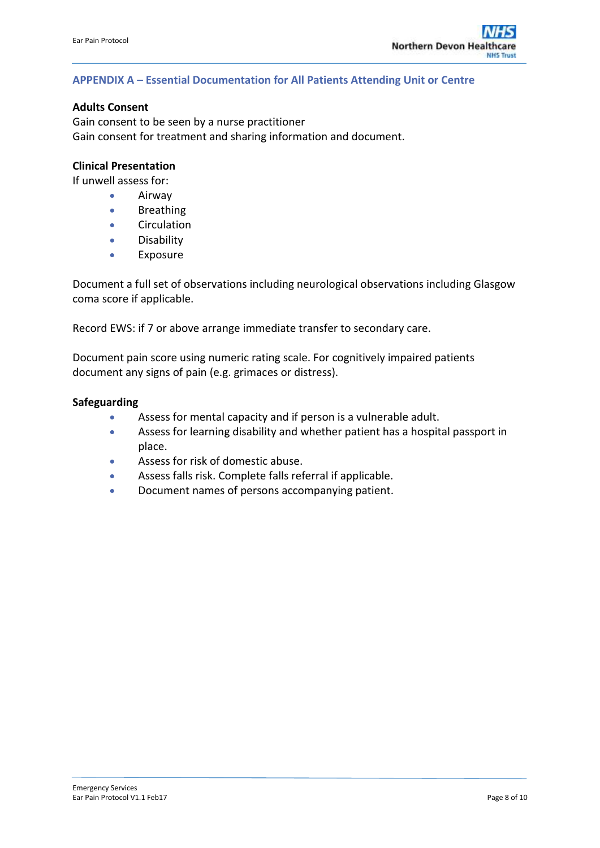#### <span id="page-7-0"></span>**APPENDIX A – Essential Documentation for All Patients Attending Unit or Centre**

#### **Adults Consent**

Gain consent to be seen by a nurse practitioner Gain consent for treatment and sharing information and document.

### **Clinical Presentation**

If unwell assess for:

- **•** Airway
- **•** Breathing
- **•** Circulation
- **•** Disability
- Exposure

Document a full set of observations including neurological observations including Glasgow coma score if applicable.

Record EWS: if 7 or above arrange immediate transfer to secondary care.

Document pain score using numeric rating scale. For cognitively impaired patients document any signs of pain (e.g. grimaces or distress).

#### **Safeguarding**

- Assess for mental capacity and if person is a vulnerable adult.
- Assess for learning disability and whether patient has a hospital passport in place.
- Assess for risk of domestic abuse.
- Assess falls risk. Complete falls referral if applicable.
- Document names of persons accompanying patient.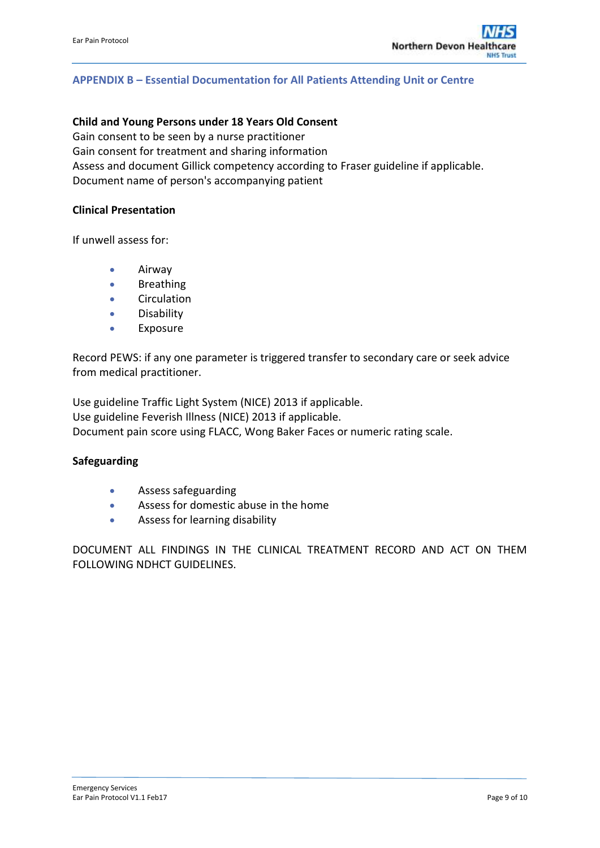### <span id="page-8-0"></span>**APPENDIX B – Essential Documentation for All Patients Attending Unit or Centre**

#### **Child and Young Persons under 18 Years Old Consent**

Gain consent to be seen by a nurse practitioner Gain consent for treatment and sharing information Assess and document Gillick competency according to Fraser guideline if applicable. Document name of person's accompanying patient

#### **Clinical Presentation**

If unwell assess for:

- **•** Airway
- **•** Breathing
- **•** Circulation
- **•** Disability
- Exposure

Record PEWS: if any one parameter is triggered transfer to secondary care or seek advice from medical practitioner.

Use guideline Traffic Light System (NICE) 2013 if applicable. Use guideline Feverish Illness (NICE) 2013 if applicable. Document pain score using FLACC, Wong Baker Faces or numeric rating scale.

#### **Safeguarding**

- Assess safeguarding
- Assess for domestic abuse in the home
- Assess for learning disability

DOCUMENT ALL FINDINGS IN THE CLINICAL TREATMENT RECORD AND ACT ON THEM FOLLOWING NDHCT GUIDELINES.